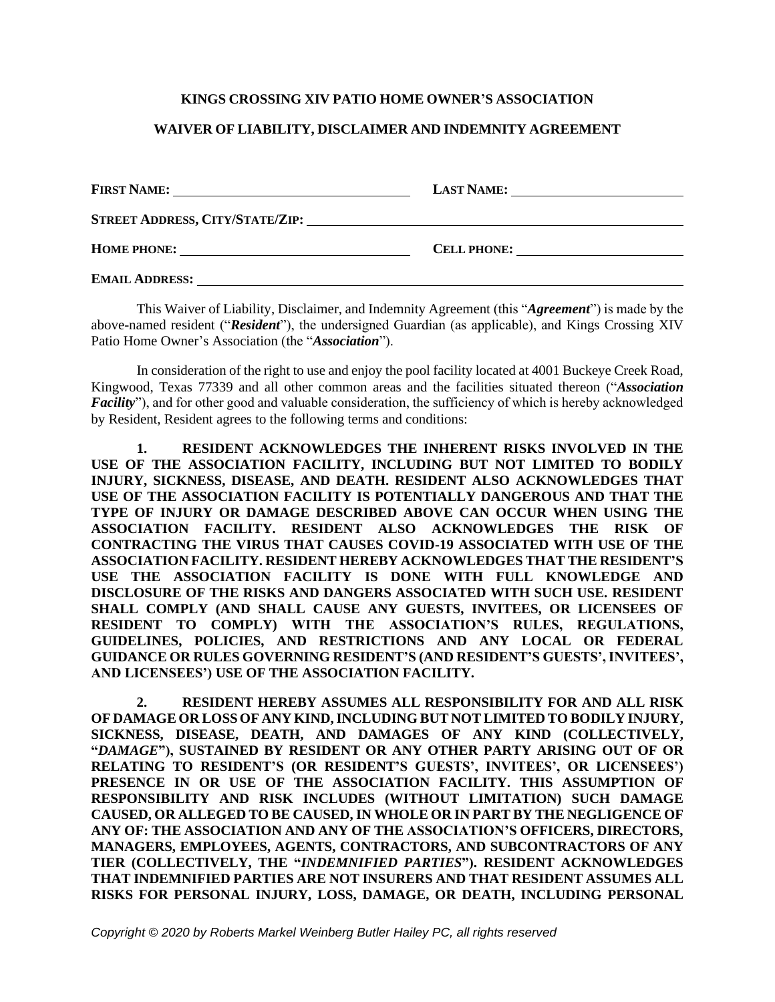## **KINGS CROSSING XIV PATIO HOME OWNER'S ASSOCIATION**

## **WAIVER OF LIABILITY, DISCLAIMER AND INDEMNITY AGREEMENT**

| <b>FIRST NAME:</b>                     | <b>LAST NAME:</b> |
|----------------------------------------|-------------------|
| <b>STREET ADDRESS, CITY/STATE/ZIP:</b> |                   |
| <b>HOME PHONE:</b>                     | CELL PHONE:       |
| <b>EMAIL ADDRESS:</b>                  |                   |

This Waiver of Liability, Disclaimer, and Indemnity Agreement (this "*Agreement*") is made by the above-named resident ("*Resident*"), the undersigned Guardian (as applicable), and Kings Crossing XIV Patio Home Owner's Association (the "*Association*").

In consideration of the right to use and enjoy the pool facility located at 4001 Buckeye Creek Road, Kingwood, Texas 77339 and all other common areas and the facilities situated thereon ("*Association Facility*"), and for other good and valuable consideration, the sufficiency of which is hereby acknowledged by Resident, Resident agrees to the following terms and conditions:

**1. RESIDENT ACKNOWLEDGES THE INHERENT RISKS INVOLVED IN THE USE OF THE ASSOCIATION FACILITY, INCLUDING BUT NOT LIMITED TO BODILY INJURY, SICKNESS, DISEASE, AND DEATH. RESIDENT ALSO ACKNOWLEDGES THAT USE OF THE ASSOCIATION FACILITY IS POTENTIALLY DANGEROUS AND THAT THE TYPE OF INJURY OR DAMAGE DESCRIBED ABOVE CAN OCCUR WHEN USING THE ASSOCIATION FACILITY. RESIDENT ALSO ACKNOWLEDGES THE RISK OF CONTRACTING THE VIRUS THAT CAUSES COVID-19 ASSOCIATED WITH USE OF THE ASSOCIATION FACILITY. RESIDENT HEREBY ACKNOWLEDGES THAT THE RESIDENT'S USE THE ASSOCIATION FACILITY IS DONE WITH FULL KNOWLEDGE AND DISCLOSURE OF THE RISKS AND DANGERS ASSOCIATED WITH SUCH USE. RESIDENT SHALL COMPLY (AND SHALL CAUSE ANY GUESTS, INVITEES, OR LICENSEES OF RESIDENT TO COMPLY) WITH THE ASSOCIATION'S RULES, REGULATIONS, GUIDELINES, POLICIES, AND RESTRICTIONS AND ANY LOCAL OR FEDERAL GUIDANCE OR RULES GOVERNING RESIDENT'S (AND RESIDENT'S GUESTS', INVITEES', AND LICENSEES') USE OF THE ASSOCIATION FACILITY.**

**2. RESIDENT HEREBY ASSUMES ALL RESPONSIBILITY FOR AND ALL RISK OF DAMAGE OR LOSSOF ANY KIND,INCLUDING BUT NOT LIMITED TO BODILY INJURY, SICKNESS, DISEASE, DEATH, AND DAMAGES OF ANY KIND (COLLECTIVELY, "***DAMAGE***"), SUSTAINED BY RESIDENT OR ANY OTHER PARTY ARISING OUT OF OR RELATING TO RESIDENT'S (OR RESIDENT'S GUESTS', INVITEES', OR LICENSEES') PRESENCE IN OR USE OF THE ASSOCIATION FACILITY. THIS ASSUMPTION OF RESPONSIBILITY AND RISK INCLUDES (WITHOUT LIMITATION) SUCH DAMAGE CAUSED, OR ALLEGED TO BE CAUSED, IN WHOLE OR IN PART BY THE NEGLIGENCE OF ANY OF: THE ASSOCIATION AND ANY OF THE ASSOCIATION'S OFFICERS, DIRECTORS, MANAGERS, EMPLOYEES, AGENTS, CONTRACTORS, AND SUBCONTRACTORS OF ANY TIER (COLLECTIVELY, THE "***INDEMNIFIED PARTIES***"). RESIDENT ACKNOWLEDGES THAT INDEMNIFIED PARTIES ARE NOT INSURERS AND THAT RESIDENT ASSUMES ALL RISKS FOR PERSONAL INJURY, LOSS, DAMAGE, OR DEATH, INCLUDING PERSONAL**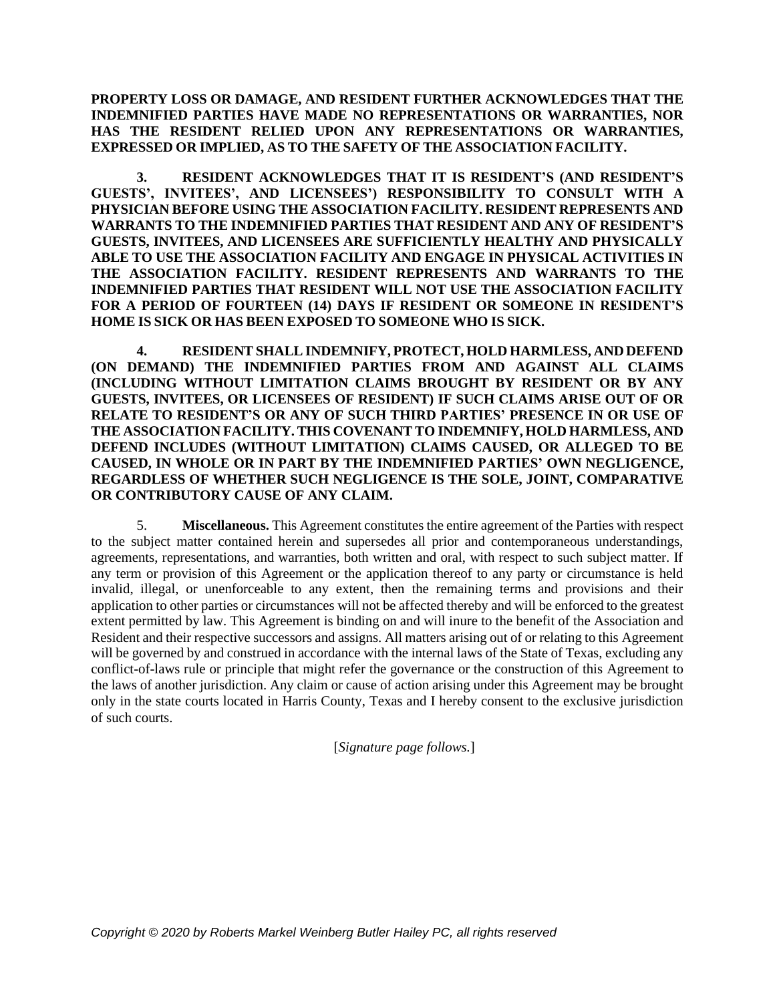**PROPERTY LOSS OR DAMAGE, AND RESIDENT FURTHER ACKNOWLEDGES THAT THE INDEMNIFIED PARTIES HAVE MADE NO REPRESENTATIONS OR WARRANTIES, NOR HAS THE RESIDENT RELIED UPON ANY REPRESENTATIONS OR WARRANTIES, EXPRESSED OR IMPLIED, AS TO THE SAFETY OF THE ASSOCIATION FACILITY.**

**3. RESIDENT ACKNOWLEDGES THAT IT IS RESIDENT'S (AND RESIDENT'S GUESTS', INVITEES', AND LICENSEES') RESPONSIBILITY TO CONSULT WITH A PHYSICIAN BEFORE USING THE ASSOCIATION FACILITY. RESIDENT REPRESENTS AND WARRANTS TO THE INDEMNIFIED PARTIES THAT RESIDENT AND ANY OF RESIDENT'S GUESTS, INVITEES, AND LICENSEES ARE SUFFICIENTLY HEALTHY AND PHYSICALLY ABLE TO USE THE ASSOCIATION FACILITY AND ENGAGE IN PHYSICAL ACTIVITIES IN THE ASSOCIATION FACILITY. RESIDENT REPRESENTS AND WARRANTS TO THE INDEMNIFIED PARTIES THAT RESIDENT WILL NOT USE THE ASSOCIATION FACILITY FOR A PERIOD OF FOURTEEN (14) DAYS IF RESIDENT OR SOMEONE IN RESIDENT'S HOME IS SICK OR HAS BEEN EXPOSED TO SOMEONE WHO IS SICK.**

**4. RESIDENT SHALL INDEMNIFY, PROTECT, HOLD HARMLESS, AND DEFEND (ON DEMAND) THE INDEMNIFIED PARTIES FROM AND AGAINST ALL CLAIMS (INCLUDING WITHOUT LIMITATION CLAIMS BROUGHT BY RESIDENT OR BY ANY GUESTS, INVITEES, OR LICENSEES OF RESIDENT) IF SUCH CLAIMS ARISE OUT OF OR RELATE TO RESIDENT'S OR ANY OF SUCH THIRD PARTIES' PRESENCE IN OR USE OF THE ASSOCIATION FACILITY. THIS COVENANT TO INDEMNIFY, HOLD HARMLESS, AND DEFEND INCLUDES (WITHOUT LIMITATION) CLAIMS CAUSED, OR ALLEGED TO BE CAUSED, IN WHOLE OR IN PART BY THE INDEMNIFIED PARTIES' OWN NEGLIGENCE, REGARDLESS OF WHETHER SUCH NEGLIGENCE IS THE SOLE, JOINT, COMPARATIVE OR CONTRIBUTORY CAUSE OF ANY CLAIM.**

5. **Miscellaneous.** This Agreement constitutes the entire agreement of the Parties with respect to the subject matter contained herein and supersedes all prior and contemporaneous understandings, agreements, representations, and warranties, both written and oral, with respect to such subject matter. If any term or provision of this Agreement or the application thereof to any party or circumstance is held invalid, illegal, or unenforceable to any extent, then the remaining terms and provisions and their application to other parties or circumstances will not be affected thereby and will be enforced to the greatest extent permitted by law. This Agreement is binding on and will inure to the benefit of the Association and Resident and their respective successors and assigns. All matters arising out of or relating to this Agreement will be governed by and construed in accordance with the internal laws of the State of Texas, excluding any conflict-of-laws rule or principle that might refer the governance or the construction of this Agreement to the laws of another jurisdiction. Any claim or cause of action arising under this Agreement may be brought only in the state courts located in Harris County, Texas and I hereby consent to the exclusive jurisdiction of such courts.

[*Signature page follows.*]